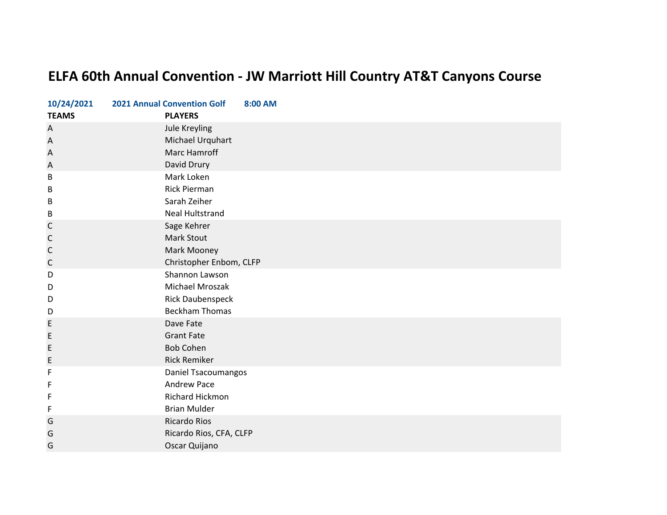## **ELFA 60th Annual Convention ‐ JW Marriott Hill Country AT&T Canyons Course**

| 10/24/2021   | <b>2021 Annual Convention Golf</b> | 8:00 AM |
|--------------|------------------------------------|---------|
| <b>TEAMS</b> | <b>PLAYERS</b>                     |         |
| A            | Jule Kreyling                      |         |
| A            | Michael Urquhart                   |         |
| A            | Marc Hamroff                       |         |
| A            | David Drury                        |         |
| В            | Mark Loken                         |         |
| B            | <b>Rick Pierman</b>                |         |
| B            | Sarah Zeiher                       |         |
| B            | <b>Neal Hultstrand</b>             |         |
| C            | Sage Kehrer                        |         |
| C            | Mark Stout                         |         |
| $\mathsf C$  | Mark Mooney                        |         |
| $\mathsf C$  | Christopher Enbom, CLFP            |         |
| D            | Shannon Lawson                     |         |
| D            | Michael Mroszak                    |         |
| D            | <b>Rick Daubenspeck</b>            |         |
| D            | <b>Beckham Thomas</b>              |         |
| E            | Dave Fate                          |         |
| $\mathsf E$  | <b>Grant Fate</b>                  |         |
| E            | <b>Bob Cohen</b>                   |         |
| E            | <b>Rick Remiker</b>                |         |
| F            | Daniel Tsacoumangos                |         |
| F            | Andrew Pace                        |         |
| F            | Richard Hickmon                    |         |
| F            | <b>Brian Mulder</b>                |         |
| G            | <b>Ricardo Rios</b>                |         |
| G            | Ricardo Rios, CFA, CLFP            |         |
| G            | Oscar Quijano                      |         |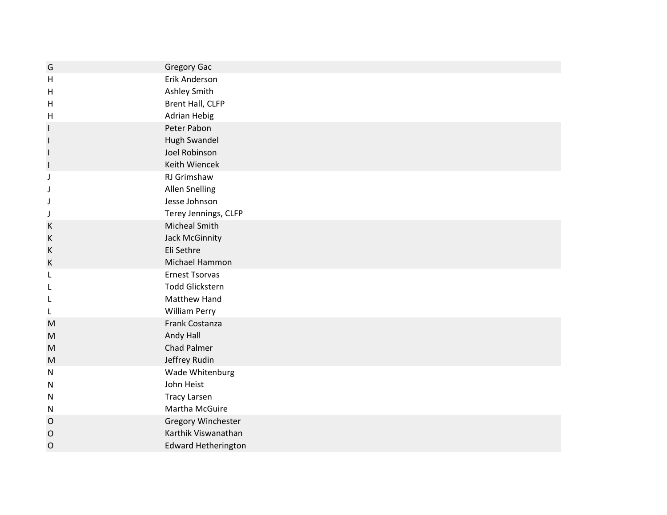| G            | <b>Gregory Gac</b>                            |
|--------------|-----------------------------------------------|
| H            | Erik Anderson                                 |
| H            | Ashley Smith                                  |
| H            | Brent Hall, CLFP                              |
| H            | <b>Adrian Hebig</b>                           |
| <b>I</b>     | Peter Pabon                                   |
| $\mathbf{I}$ | Hugh Swandel                                  |
| I            | Joel Robinson                                 |
| $\vert$      | Keith Wiencek                                 |
| J            | RJ Grimshaw                                   |
|              | <b>Allen Snelling</b>                         |
| J            | Jesse Johnson                                 |
| J            | Terey Jennings, CLFP                          |
| К            | <b>Micheal Smith</b>                          |
| К            | <b>Jack McGinnity</b>                         |
| К            | Eli Sethre                                    |
| К            | Michael Hammon                                |
| L            | <b>Ernest Tsorvas</b>                         |
| L            | <b>Todd Glickstern</b><br><b>Matthew Hand</b> |
|              |                                               |
| L            | <b>William Perry</b><br>Frank Costanza        |
| M<br>M       | Andy Hall                                     |
| M            | <b>Chad Palmer</b>                            |
| ${\sf M}$    | Jeffrey Rudin                                 |
| $\mathsf{N}$ | Wade Whitenburg                               |
| $\mathsf{N}$ | John Heist                                    |
| N            | <b>Tracy Larsen</b>                           |
| N            | Martha McGuire                                |
| O            | Gregory Winchester                            |
| $\mathsf{O}$ | Karthik Viswanathan                           |
| $\mathsf{O}$ | <b>Edward Hetherington</b>                    |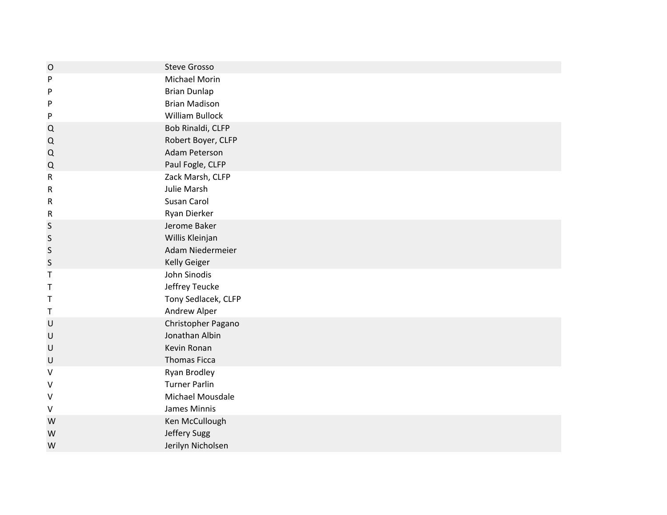| $\circ$     | <b>Steve Grosso</b>    |
|-------------|------------------------|
| P           | Michael Morin          |
| P           | <b>Brian Dunlap</b>    |
| P           | <b>Brian Madison</b>   |
| P           | <b>William Bullock</b> |
| Q           | Bob Rinaldi, CLFP      |
| Q           | Robert Boyer, CLFP     |
| Q           | Adam Peterson          |
| Q           | Paul Fogle, CLFP       |
| ${\sf R}$   | Zack Marsh, CLFP       |
| ${\sf R}$   | Julie Marsh            |
| R           | Susan Carol            |
| ${\sf R}$   | Ryan Dierker           |
| S           | Jerome Baker           |
| S           | Willis Kleinjan        |
| $\sf S$     | Adam Niedermeier       |
| $\sf S$     | <b>Kelly Geiger</b>    |
| Τ           | John Sinodis           |
| Τ           | Jeffrey Teucke         |
| Τ           | Tony Sedlacek, CLFP    |
| $\mathsf T$ | Andrew Alper           |
| $\sf U$     | Christopher Pagano     |
| U           | Jonathan Albin         |
| U           | Kevin Ronan            |
| $\sf U$     | <b>Thomas Ficca</b>    |
| $\vee$      | <b>Ryan Brodley</b>    |
| V           | <b>Turner Parlin</b>   |
| V           | Michael Mousdale       |
| $\vee$      | James Minnis           |
| W           | Ken McCullough         |
| W           | Jeffery Sugg           |
| W           | Jerilyn Nicholsen      |